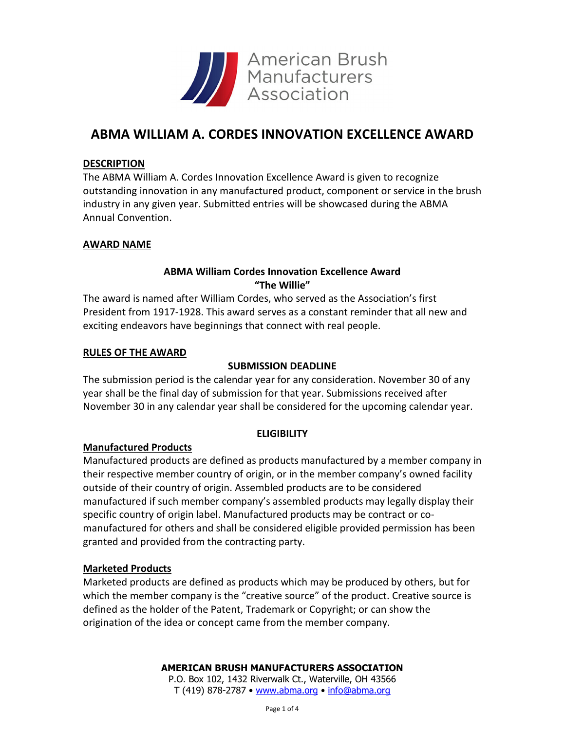

## **ABMA WILLIAM A. CORDES INNOVATION EXCELLENCE AWARD**

#### **DESCRIPTION**

The ABMA William A. Cordes Innovation Excellence Award is given to recognize outstanding innovation in any manufactured product, component or service in the brush industry in any given year. Submitted entries will be showcased during the ABMA Annual Convention.

#### **AWARD NAME**

### **ABMA William Cordes Innovation Excellence Award "The Willie"**

The award is named after William Cordes, who served as the Association's first President from 1917-1928. This award serves as a constant reminder that all new and exciting endeavors have beginnings that connect with real people.

#### **RULES OF THE AWARD**

#### **SUBMISSION DEADLINE**

The submission period is the calendar year for any consideration. November 30 of any year shall be the final day of submission for that year. Submissions received after November 30 in any calendar year shall be considered for the upcoming calendar year.

#### **ELIGIBILITY**

#### **Manufactured Products**

Manufactured products are defined as products manufactured by a member company in their respective member country of origin, or in the member company's owned facility outside of their country of origin. Assembled products are to be considered manufactured if such member company's assembled products may legally display their specific country of origin label. Manufactured products may be contract or comanufactured for others and shall be considered eligible provided permission has been granted and provided from the contracting party.

#### **Marketed Products**

Marketed products are defined as products which may be produced by others, but for which the member company is the "creative source" of the product. Creative source is defined as the holder of the Patent, Trademark or Copyright; or can show the origination of the idea or concept came from the member company.

#### **AMERICAN BRUSH MANUFACTURERS ASSOCIATION**

P.O. Box 102, 1432 Riverwalk Ct., Waterville, OH 43566 T (419) 878-2787 • [www.abma.org](http://www.abma.org/) • [info@abma.org](mailto:info@abma.org)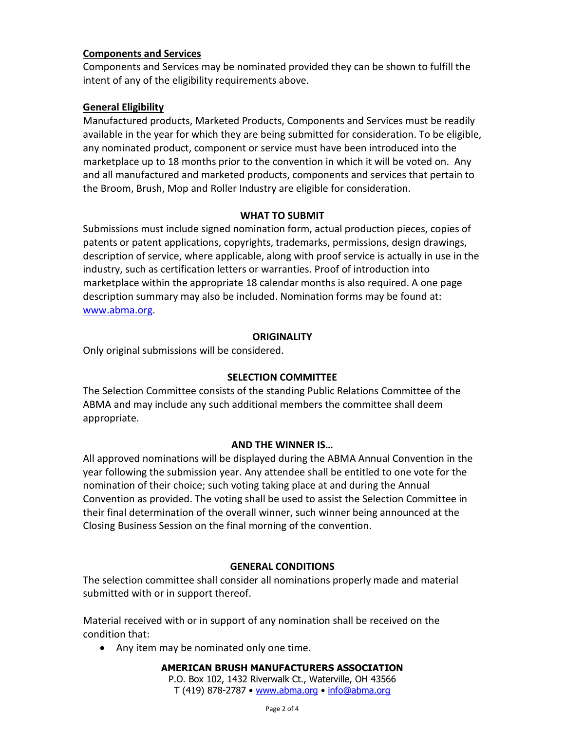#### **Components and Services**

Components and Services may be nominated provided they can be shown to fulfill the intent of any of the eligibility requirements above.

#### **General Eligibility**

Manufactured products, Marketed Products, Components and Services must be readily available in the year for which they are being submitted for consideration. To be eligible, any nominated product, component or service must have been introduced into the marketplace up to 18 months prior to the convention in which it will be voted on. Any and all manufactured and marketed products, components and services that pertain to the Broom, Brush, Mop and Roller Industry are eligible for consideration.

#### **WHAT TO SUBMIT**

Submissions must include signed nomination form, actual production pieces, copies of patents or patent applications, copyrights, trademarks, permissions, design drawings, description of service, where applicable, along with proof service is actually in use in the industry, such as certification letters or warranties. Proof of introduction into marketplace within the appropriate 18 calendar months is also required. A one page description summary may also be included. Nomination forms may be found at: [www.abma.org.](http://www.abma.org/)

#### **ORIGINALITY**

Only original submissions will be considered.

#### **SELECTION COMMITTEE**

The Selection Committee consists of the standing Public Relations Committee of the ABMA and may include any such additional members the committee shall deem appropriate.

#### **AND THE WINNER IS…**

All approved nominations will be displayed during the ABMA Annual Convention in the year following the submission year. Any attendee shall be entitled to one vote for the nomination of their choice; such voting taking place at and during the Annual Convention as provided. The voting shall be used to assist the Selection Committee in their final determination of the overall winner, such winner being announced at the Closing Business Session on the final morning of the convention.

#### **GENERAL CONDITIONS**

The selection committee shall consider all nominations properly made and material submitted with or in support thereof.

Material received with or in support of any nomination shall be received on the condition that:

• Any item may be nominated only one time.

#### **AMERICAN BRUSH MANUFACTURERS ASSOCIATION** P.O. Box 102, 1432 Riverwalk Ct., Waterville, OH 43566 T (419) 878-2787 • [www.abma.org](http://www.abma.org/) • [info@abma.org](mailto:info@abma.org)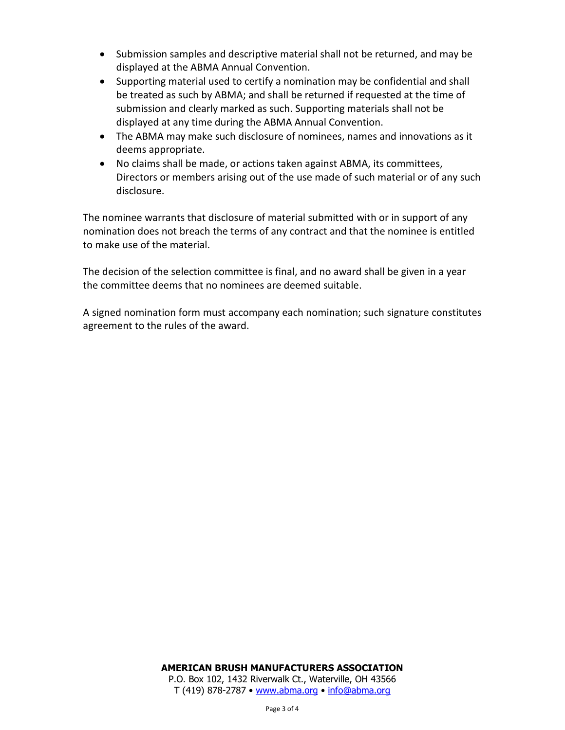- Submission samples and descriptive material shall not be returned, and may be displayed at the ABMA Annual Convention.
- Supporting material used to certify a nomination may be confidential and shall be treated as such by ABMA; and shall be returned if requested at the time of submission and clearly marked as such. Supporting materials shall not be displayed at any time during the ABMA Annual Convention.
- The ABMA may make such disclosure of nominees, names and innovations as it deems appropriate.
- No claims shall be made, or actions taken against ABMA, its committees, Directors or members arising out of the use made of such material or of any such disclosure.

The nominee warrants that disclosure of material submitted with or in support of any nomination does not breach the terms of any contract and that the nominee is entitled to make use of the material.

The decision of the selection committee is final, and no award shall be given in a year the committee deems that no nominees are deemed suitable.

A signed nomination form must accompany each nomination; such signature constitutes agreement to the rules of the award.